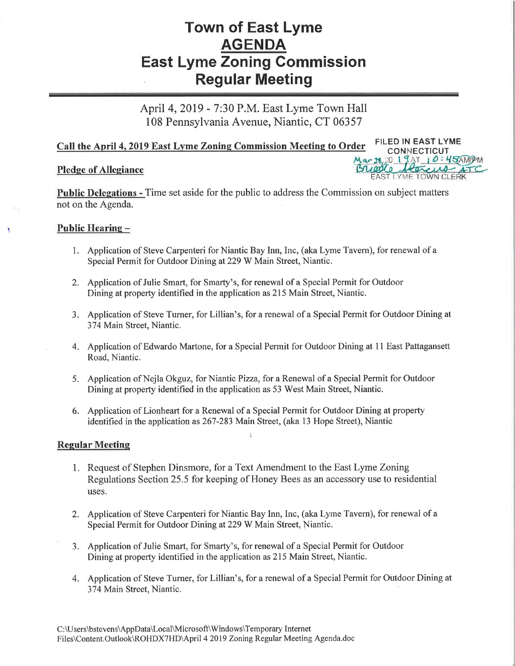# Town of East Lyme AGENDA East Lyme Zoning Gommission Regular Meeting

April 4,2019 - 7:30 P.M. East Lyme Town Hall 108 Pennsylvania Avenue, Niantic, CT 06357

## Call the April 4, 2019 East Lyme Zoning Commission Meeting to Order FILED IN EAST LYME

#### Pledge of Allegiance

Public Delegations - Time set aside for the public to address the Commission on subject matters not on the Agenda

20 19AT 10 : 45AMPM

**EAST LYME TOWN CLEI** 

#### Public Hearing -

- 1. Application of Steve Carpenteri for Niantic Bay Inn, Inc, (aka Lyme Tavern), for renewal of <sup>a</sup> Special Permit for Outdoor Dining at229 W Main Street, Niantic.
- 2. Application of Julie Smart, for Smarty's, for renewal of a Special Permit for Outdoor Dining at property identified in the application as 215 Main Street, Niantic.
- <sup>3</sup>. Application of Steve Turner, for Lillian's, for a renewal of a Special Permit for Outdoor Dining at <sup>37</sup>4 Main Street, Niantic.
- 4. Application of Edwardo Martone, for a Special Permit for Outdoor Dining at 11 East Pattagansett Road, Niantic.
- 5. Application of Nejla Okguz, for Niantic Pizza, for a Renewal of a Special Permit for Outdoor Dining at property identified in the application as 53 West Main Street, Niantic.
- 6. Application of Lionheart for a Renewal of a Special Permit for Outdoor Dining at property identified in the application as 267-283 Main Street, (aka 13 Hope Street), Niantic

#### Regular Meeting

- 1. Request of Stephen Dinsmore, for a Text Amendment to the East Lyme Zoning Regulations Section 25.5 for keeping of Honey Bees as an accessory use to residential uses.
- 2. Application of Steve Carpenteri for Niantic Bay Inn, Inc, (aka Lyme Tavern), for renewal of <sup>a</sup> Special Permit for Outdoor Dining at229 W Main Street, Niantic.
- 3. Application of Julie Smart, for Smarty's, for renewal of a Special Permit for Outdoor Dining at property identified in the application as 215 Main Street, Niantic.
- 4. Application of Steve Turner, for Lillian's, for a renewal of a Special Permit for Outdoor Dining at <sup>37</sup>4 Main Street, Niantic.